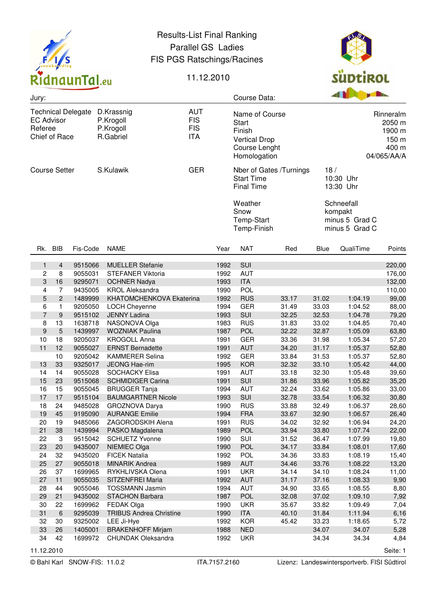

## Results-List Final Ranking Parallel GS Ladies FIS PGS Ratschings/Racines



## 11.12.2010

| Jury:                                                                                                                           |                |                    |                                                      |                                                                                                   |              | Course Data:                                 |                                                                |                               | <b>B B B B</b>                                            |                |  |
|---------------------------------------------------------------------------------------------------------------------------------|----------------|--------------------|------------------------------------------------------|---------------------------------------------------------------------------------------------------|--------------|----------------------------------------------|----------------------------------------------------------------|-------------------------------|-----------------------------------------------------------|----------------|--|
| <b>Technical Delegate</b><br>D.Krassnig<br><b>EC Advisor</b><br>P.Krogoll<br>Referee<br>P.Krogoll<br>Chief of Race<br>R.Gabriel |                |                    | <b>AUT</b><br><b>FIS</b><br><b>FIS</b><br><b>ITA</b> | Name of Course<br><b>Start</b><br>Finish<br><b>Vertical Drop</b><br>Course Lenght<br>Homologation |              |                                              | Rinneralm<br>2050 m<br>1900 m<br>150 m<br>400 m<br>04/065/AA/A |                               |                                                           |                |  |
| <b>Course Setter</b>                                                                                                            |                |                    | S.Kulawik                                            | <b>GER</b>                                                                                        |              | <b>Start Time</b><br><b>Final Time</b>       | Nber of Gates /Turnings                                        | 18/<br>10:30 Uhr<br>13:30 Uhr |                                                           |                |  |
|                                                                                                                                 |                |                    |                                                      |                                                                                                   |              | Weather<br>Snow<br>Temp-Start<br>Temp-Finish |                                                                |                               | Schneefall<br>kompakt<br>minus 5 Grad C<br>minus 5 Grad C |                |  |
|                                                                                                                                 | Rk. BIB        | Fis-Code           | <b>NAME</b>                                          |                                                                                                   | Year         | <b>NAT</b>                                   | Red                                                            | <b>Blue</b>                   | QualiTime                                                 | Points         |  |
| 1                                                                                                                               | $\overline{4}$ | 9515066            | <b>MUELLER Stefanie</b>                              |                                                                                                   | 1992         | SUI                                          |                                                                |                               |                                                           | 220,00         |  |
| 2                                                                                                                               | 8              | 9055031            | <b>STEFANER Viktoria</b>                             |                                                                                                   | 1992         | <b>AUT</b>                                   |                                                                |                               |                                                           | 176,00         |  |
| 3                                                                                                                               | 16             | 9295071            | <b>OCHNER Nadya</b>                                  |                                                                                                   | 1993         | <b>ITA</b>                                   |                                                                |                               |                                                           | 132,00         |  |
| 4                                                                                                                               | $\overline{7}$ | 9435005            | <b>KROL Aleksandra</b>                               |                                                                                                   | 1990         | POL                                          |                                                                |                               |                                                           | 110,00         |  |
| 5                                                                                                                               | $\overline{c}$ | 1489999            | KHATOMCHENKOVA Ekaterina                             |                                                                                                   | 1992         | <b>RUS</b>                                   | 33.17                                                          | 31.02                         | 1:04.19                                                   | 99,00          |  |
| 6                                                                                                                               | $\mathbf{1}$   | 9205050            | LOCH Cheyenne                                        |                                                                                                   | 1994         | <b>GER</b>                                   | 31.49                                                          | 33.03                         | 1:04.52                                                   | 88,00          |  |
| 7                                                                                                                               | 9              | 9515102            | <b>JENNY Ladina</b>                                  |                                                                                                   | 1993         | SUI                                          | 32.25                                                          | 32.53                         | 1:04.78                                                   | 79,20          |  |
| 8                                                                                                                               | 13             | 1638718            | NASONOVA Olga                                        |                                                                                                   | 1983         | <b>RUS</b>                                   | 31.83                                                          | 33.02                         | 1:04.85                                                   | 70,40          |  |
| 9                                                                                                                               | 5              | 1439997            | <b>WOZNIAK Paulina</b>                               |                                                                                                   | 1987         | <b>POL</b>                                   | 32.22                                                          | 32.87                         | 1:05.09                                                   | 63,80          |  |
| 10                                                                                                                              | 18             | 9205037            | <b>KROGOLL Anna</b>                                  |                                                                                                   | 1991         | <b>GER</b>                                   | 33.36                                                          | 31.98                         | 1:05.34                                                   | 57,20          |  |
| 11                                                                                                                              | 12             | 9055027            | <b>ERNST Bernadette</b>                              |                                                                                                   | 1991         | <b>AUT</b>                                   | 34.20                                                          | 31.17                         | 1:05.37                                                   | 52,80          |  |
|                                                                                                                                 | 10             | 9205042            | <b>KAMMERER Selina</b>                               |                                                                                                   | 1992         | <b>GER</b>                                   | 33.84                                                          | 31.53                         | 1:05.37                                                   | 52,80          |  |
| 13                                                                                                                              | 33             | 9325017            | <b>JEONG Hae-rim</b>                                 |                                                                                                   | 1995         | <b>KOR</b>                                   | 32.32                                                          | 33.10                         | 1:05.42                                                   | 44,00          |  |
| 14                                                                                                                              | 14             | 9055028            | <b>SOCHACKY Elisa</b>                                |                                                                                                   | 1991         | <b>AUT</b>                                   | 33.18                                                          | 32.30                         | 1:05.48                                                   | 39,60          |  |
| 15                                                                                                                              | 23             | 9515068            | <b>SCHMIDIGER Carina</b>                             |                                                                                                   | 1991         | SUI                                          | 31.86                                                          | 33.96                         | 1:05.82                                                   | 35,20          |  |
| 16                                                                                                                              | 15             | 9055045            | <b>BRUGGER Tanja</b>                                 |                                                                                                   | 1994         | <b>AUT</b>                                   | 32.24                                                          | 33.62                         | 1:05.86                                                   | 33,00          |  |
| 17                                                                                                                              | 17<br>24       | 9515104            | <b>BAUMGARTNER Nicole</b><br>GROZNOVA Darya          |                                                                                                   | 1993         | SUI<br><b>RUS</b>                            | 32.78<br>33.88                                                 | 33.54                         | 1:06.32                                                   | 30,80          |  |
| 18<br>19                                                                                                                        | 45             | 9485028<br>9195090 | <b>AURANGE Emilie</b>                                |                                                                                                   | 1990<br>1994 | <b>FRA</b>                                   | 33.67                                                          | 32.49<br>32.90                | 1:06.37<br>1:06.57                                        | 28,60<br>26,40 |  |
| 20                                                                                                                              | 19             | 9485066            | ZAGORODSKIH Alena                                    |                                                                                                   | 1991         | <b>RUS</b>                                   | 34.02                                                          | 32.92                         | 1:06.94                                                   | 24,20          |  |
| 21                                                                                                                              | 38             | 1439994            | PASKO Magdalena                                      |                                                                                                   | 1989         | POL                                          | 33.94                                                          | 33.80                         | 1:07.74                                                   | 22,00          |  |
| 22                                                                                                                              | 3              | 9515042            | <b>SCHUETZ Yvonne</b>                                |                                                                                                   | 1990         | SUI                                          | 31.52                                                          | 36.47                         | 1:07.99                                                   | 19,80          |  |
| 23                                                                                                                              | 20             | 9435007            | NIEMIEC Olga                                         |                                                                                                   | 1990         | <b>POL</b>                                   | 34.17                                                          | 33.84                         | 1:08.01                                                   | 17,60          |  |
| 24                                                                                                                              | 32             | 9435020            | <b>FICEK Natalia</b>                                 |                                                                                                   | 1992         | <b>POL</b>                                   | 34.36                                                          | 33.83                         | 1:08.19                                                   | 15,40          |  |
| 25                                                                                                                              | 27             | 9055018            | <b>MINARIK Andrea</b>                                |                                                                                                   | 1989         | <b>AUT</b>                                   | 34.46                                                          | 33.76                         | 1:08.22                                                   | 13,20          |  |
| 26                                                                                                                              | 37             | 1699965            | RYKHLIVSKA Olena                                     |                                                                                                   | 1991         | <b>UKR</b>                                   | 34.14                                                          | 34.10                         | 1:08.24                                                   | 11,00          |  |
| 27                                                                                                                              | 11             | 9055035            | SITZENFREI Maria                                     |                                                                                                   | 1992         | <b>AUT</b>                                   | 31.17                                                          | 37.16                         | 1:08.33                                                   | 9,90           |  |
| 28                                                                                                                              | 44             | 9055046            | <b>TOSSMANN Jasmin</b>                               |                                                                                                   | 1994         | AUT                                          | 34.90                                                          | 33.65                         | 1:08.55                                                   | 8,80           |  |
| 29                                                                                                                              | 21             | 9435002            | <b>STACHON Barbara</b>                               |                                                                                                   | 1987         | POL                                          | 32.08                                                          | 37.02                         | 1:09.10                                                   | 7,92           |  |
| 30                                                                                                                              | 22             | 1699962            | <b>FEDAK Olga</b>                                    |                                                                                                   | 1990         | <b>UKR</b>                                   | 35.67                                                          | 33.82                         | 1:09.49                                                   | 7,04           |  |
| 31                                                                                                                              | $\,$ 6         | 9295039            | <b>TRIBUS Andrea Christine</b>                       |                                                                                                   | 1990         | <b>ITA</b>                                   | 40.10                                                          | 31.84                         | 1:11.94                                                   | 6,16           |  |
| 32                                                                                                                              | 30             | 9325002            | LEE Ji-Hye                                           |                                                                                                   | 1992         | <b>KOR</b>                                   | 45.42                                                          | 33.23                         | 1:18.65                                                   | 5,72           |  |
| 33                                                                                                                              | 26             | 1405001            | <b>BRAKENHOFF Mirjam</b>                             |                                                                                                   | 1988         | <b>NED</b>                                   |                                                                | 34.07                         | 34.07                                                     | 5,28           |  |
| 34                                                                                                                              | 42             | 1699972            | <b>CHUNDAK Oleksandra</b>                            |                                                                                                   | 1992         | <b>UKR</b>                                   |                                                                | 34.34                         | 34.34                                                     | 4,84           |  |